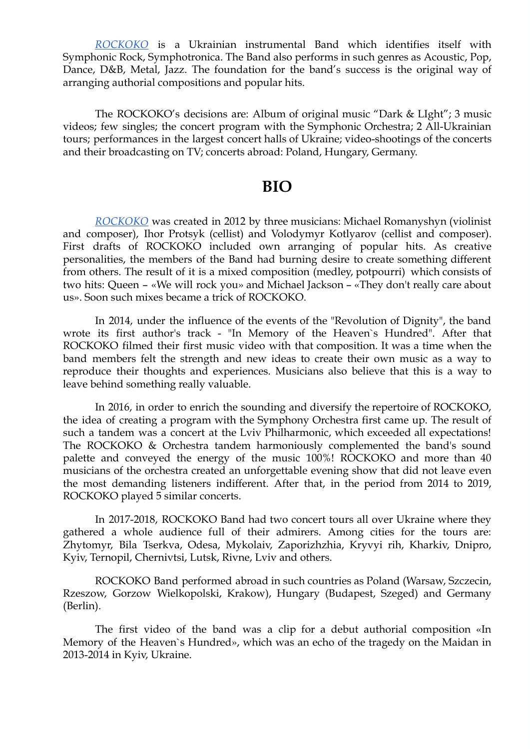*[ROCKOKO](http://rockoko.com.ua/)* is a Ukrainian instrumental Band which identifies itself with Symphonic Rock, Symphotronica. The Band also performs in such genres as Acoustic, Pop, Dance, D&B, Metal, Jazz. The foundation for the band's success is the original way of arranging authorial compositions and popular hits.

The ROCKOKO's decisions are: Album of original music "Dark & LIght"; 3 music videos; few singles; the concert program with the Symphonic Orchestra; 2 All-Ukrainian tours; performances in the largest concert halls of Ukraine; video-shootings of the concerts and their broadcasting on TV; concerts abroad: Poland, Hungary, Germany.

#### **BIO**

*[ROCKOKO](http://rockoko.com.ua/)* was created in 2012 by three musicians: Michael Romanyshyn (violinist and composer), Ihor Protsyk (cellist) and Volodymyr Kotlyarov (cellist and composer). First drafts of ROCKOKO included own arranging of popular hits. As creative personalities, the members of the Band had burning desire to create something different from others. The result of it is a mixed composition (medley, potpourri) which consists of two hits: Queen – «We will rock you» and Michael Jackson – «They don't really care about us». Soon such mixes became a trick of ROCKOKO.

In 2014, under the influence of the events of the "Revolution of Dignity", the band wrote its first author's track - "In Memory of the Heaven`s Hundred". After that ROCKOKO filmed their first music video with that composition. It was a time when the band members felt the strength and new ideas to create their own music as a way to reproduce their thoughts and experiences. Musicians also believe that this is a way to leave behind something really valuable.

In 2016, in order to enrich the sounding and diversify the repertoire of ROCKOKO, the idea of creating a program with the Symphony Orchestra first came up. The result of such a tandem was a concert at the Lviv Philharmonic, which exceeded all expectations! The ROCKOKO & Orchestra tandem harmoniously complemented the band's sound palette and conveyed the energy of the music 100%! ROCKOKO and more than 40 musicians of the orchestra created an unforgettable evening show that did not leave even the most demanding listeners indifferent. After that, in the period from 2014 to 2019, ROCKOKO played 5 similar concerts.

In 2017-2018, ROCKOKO Band had two concert tours all over Ukraine where they gathered a whole audience full of their admirers. Among cities for the tours are: Zhytomyr, Bila Tserkva, Odesa, Mykolaiv, Zaporizhzhia, Kryvyi rih, Kharkiv, Dnipro, Kyiv, Ternopil, Chernivtsi, Lutsk, Rivne, Lviv and others.

ROCKOKO Band performed abroad in such countries as Poland (Warsaw, Szczecin, Rzeszow, Gorzow Wielkopolski, Krakow), Hungary (Budapest, Szeged) and Germany (Berlin).

The first video of the band was a clip for a debut authorial composition [« In](https://www.youtube.com/watch?v=-yenCNLOIrg)  Memory of the Heaven's Hundred», which was an echo of the tragedy on the Maidan in 2013-2014 in Kyiv, Ukraine.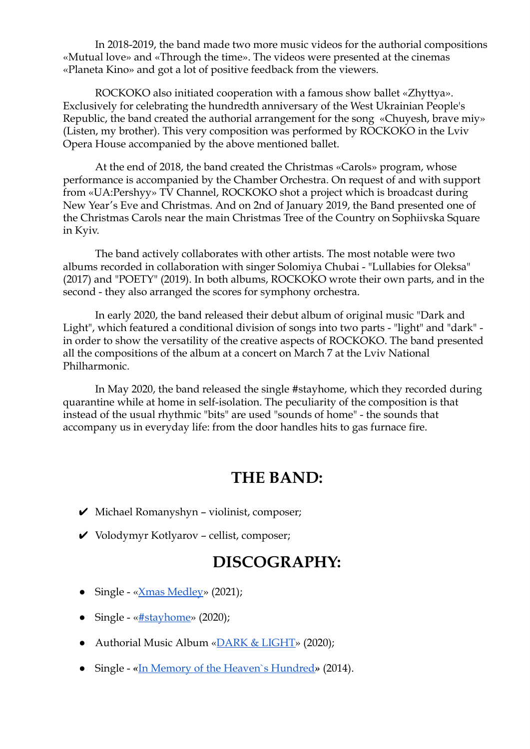In 2018-2019, the band made two more music videos for the authorial compositions «Mutual love» and «Through the time». The videos were presented at the cinemas «Planeta Kino» and got a lot of positive feedback from the viewers.

ROCKOKO also initiated cooperation with a famous show ballet «Zhyttya». Exclusively for celebrating the hundredth anniversary of the West Ukrainian People's Republic, the band created the authorial arrangement for the song «Chuyesh, brave miy» (Listen, my brother). This very composition was performed by ROCKOKO in the Lviv Opera House accompanied by the above mentioned ballet.

At the end of 2018, the band created the Christmas «Carols» program, whose performance is accompanied by the Chamber Orchestra. On request of and with support from «UA:Pershyy» TV Channel, ROCKOKO shot a project which is broadcast during New Year's Eve and Christmas. And on 2nd of January 2019, the Band presented one of the Christmas Carols near the main Christmas Tree of the Country on Sophiivska Square in Kyiv.

The band actively collaborates with other artists. The most notable were two albums recorded in collaboration with singer Solomiya Chubai - "Lullabies for Oleksa" (2017) and "POETY" (2019). In both albums, ROCKOKO wrote their own parts, and in the second - they also arranged the scores for symphony orchestra.

In early 2020, the band released their debut album of original music "Dark and Light", which featured a conditional division of songs into two parts - "light" and "dark" in order to show the versatility of the creative aspects of ROCKOKO. The band presented all the compositions of the album at a concert on March 7 at the Lviv National Philharmonic.

In May 2020, the band released the single #stayhome, which they recorded during quarantine while at home in self-isolation. The peculiarity of the composition is that instead of the usual rhythmic "bits" are used "sounds of home" - the sounds that accompany us in everyday life: from the door handles hits to gas furnace fire.

#### **THE BAND:**

- $\vee$  Michael Romanyshyn violinist, composer;
- ✔ Volodymyr Kotlyarov cellist, composer;

#### **DISCOGRAPHY:**

- Single « $X$ mas Medley» (2021);
- Single « $\frac{#stavhome}{}$ » (2020);
- Authorial Music Album «**DARK & LIGHT**» (2020);
- Single «In Memory of the Heaven's Hundred» (2014).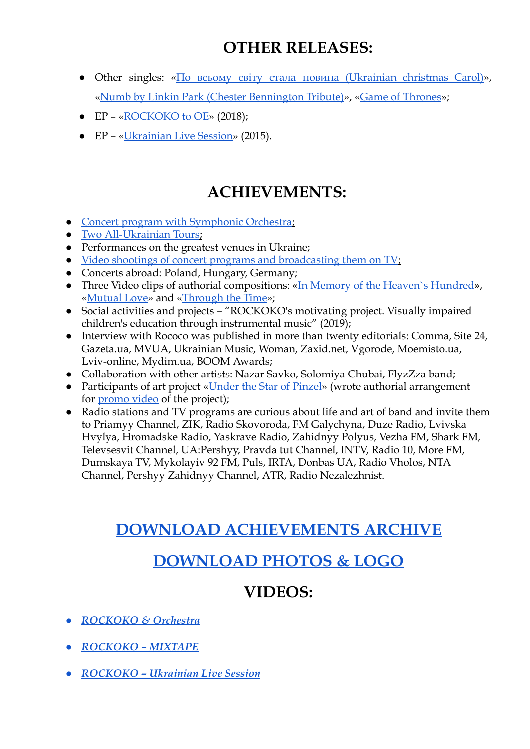## **OTHER RELEASES:**

- Other singles: « $\Pi$ <sub>O</sub> всьому світу стала новина (Ukrainian christmas Carol)», « [Numb by Linkin Park \(Chester Bennington Tribute\) »](https://www.youtube.com/watch?v=Ulce5wFLCds), «Game of Thrones»;
- $EP \alpha ROCKOKO$  to  $OE \gg 2018$ ;
- EP «Ukrainian Live Session» (2015).

## **ACHIEVEMENTS:**

- Concert program with Symphonic Orchestra;
- [Two All-Ukrainian Tours](https://www.youtube.com/watch?v=zbeGfmRZ1OY);
- Performances on the greatest venues in Ukraine;
- Video shootings of concert programs and broadcasting them on TV;
- Concerts abroad: Poland, Hungary, Germany;
- Three Video clips of authorial compositions: «In Memory of the Heaven's Hundred», «Mutual Love» and «Through the Time»;
- Social activities and projects "ROCKOKO's motivating project. Visually impaired children's education through instrumental music" (2019);
- Interview with Rococo was published in more than twenty editorials: Comma, Site 24, Gazeta.ua, MVUA, Ukrainian Music, Woman, Zaxid.net, Vgorode, Moemisto.ua, Lviv-online, Mydim.uа, BOOM Awards;
- Collaboration with other artists: Nazar Savko, Solomiya Chubai, FlyzZza band;
- Participants of art project «Under the Star of Pinzel» (wrote authorial arrangement for **promo** video of the project);
- Radio stations and TV programs are curious about life and art of band and invite them to Priamyy Channel, ZIK, Radio Skovoroda, FM Galychyna, Duze Radio, Lvivska Hvylya, Hromadske Radio, Yaskrave Radio, Zahidnyy Polyus, Vezha FM, Shark FM, Televsesvit Channel, UA:Pershyy, Pravda tut Channel, INTV, Radio 10, More FM, Dumskaya TV, Mykolayiv 92 FM, Puls, IRTA, Donbas UA, Radio Vholos, NTA Channel, Pershyy Zahidnyy Channel, АТR, Radio Nezalezhnist.

## **[DOWNLOAD ACHIEVEMENTS ARCHIVE](http://rockoko.com.ua/wp-content/uploads/2019/02/rockoko.com_.ua_rewards.zip)**

## **[DOWNLOAD PHOTOS & LOGO](http://rockoko.com.ua/wp-content/uploads/2021/04/rockoko_epk_photos.zip)**

## **VIDEOS:**

- *● [ROCKOKO & Orchestra](https://www.youtube.com/watch?v=Ov-Tth4SmbE)*
- *● [ROCKOKO MIXTAPE](https://www.youtube.com/watch?v=nqNE6YPTbrQ)*
- *● [ROCKOKO Ukrainian Live Session](https://www.youtube.com/watch?v=lKm8OOn4DlQ&list=PLeHmgKmOa0r_O1DqfRS61yM4a6Qk5im2s&index=5)*